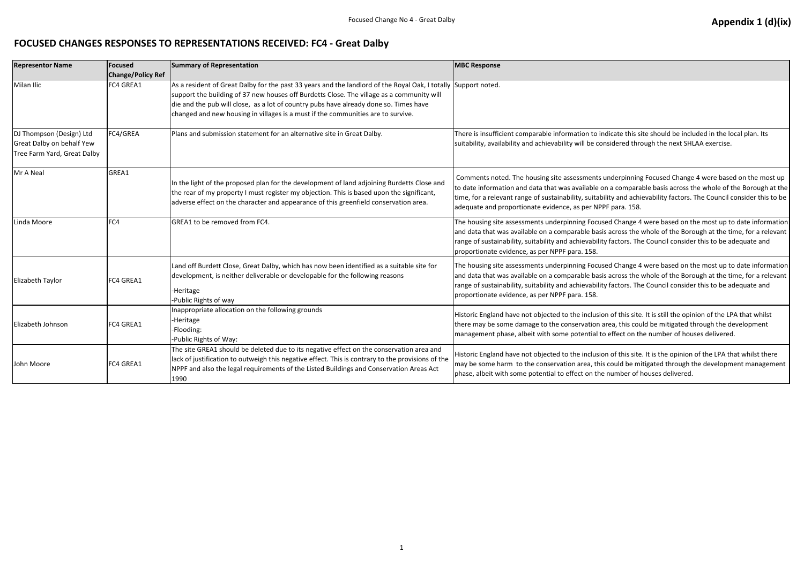## **FOCUSED CHANGES RESPONSES TO REPRESENTATIONS RECEIVED: FC4 - Great Dalby**

| <b>Representor Name</b>                                                              | <b>Focused</b><br><b>Change/Policy Ref</b> | <b>Summary of Representation</b>                                                                                                                                                                                                                                                                                                                                                         | <b>MBC Response</b>                                                                                                                                                                                                  |
|--------------------------------------------------------------------------------------|--------------------------------------------|------------------------------------------------------------------------------------------------------------------------------------------------------------------------------------------------------------------------------------------------------------------------------------------------------------------------------------------------------------------------------------------|----------------------------------------------------------------------------------------------------------------------------------------------------------------------------------------------------------------------|
| Milan Ilic                                                                           | FC4 GREA1                                  | As a resident of Great Dalby for the past 33 years and the landlord of the Royal Oak, I totally Support noted.<br>support the building of 37 new houses off Burdetts Close. The village as a community will<br>die and the pub will close, as a lot of country pubs have already done so. Times have<br>changed and new housing in villages is a must if the communities are to survive. |                                                                                                                                                                                                                      |
| DJ Thompson (Design) Ltd<br>Great Dalby on behalf Yew<br>Tree Farm Yard, Great Dalby | FC4/GREA                                   | Plans and submission statement for an alternative site in Great Dalby.                                                                                                                                                                                                                                                                                                                   | There is insufficient comparable information to ind<br>suitability, availability and achievability will be cons                                                                                                      |
| Mr A Neal                                                                            | GREA1                                      | In the light of the proposed plan for the development of land adjoining Burdetts Close and<br>the rear of my property I must register my objection. This is based upon the significant,<br>adverse effect on the character and appearance of this greenfield conservation area.                                                                                                          | Comments noted. The housing site assessments ur<br>to date information and data that was available on<br>time, for a relevant range of sustainability, suitabili<br>adequate and proportionate evidence, as per NPPF |
| Linda Moore                                                                          | FC4                                        | GREA1 to be removed from FC4.                                                                                                                                                                                                                                                                                                                                                            | The housing site assessments underpinning Focuse<br>and data that was available on a comparable basis<br>range of sustainability, suitability and achievability<br>proportionate evidence, as per NPPF para. 158.    |
| Elizabeth Taylor                                                                     | FC4 GREA1                                  | Land off Burdett Close, Great Dalby, which has now been identified as a suitable site for<br>development, is neither deliverable or developable for the following reasons<br>-Heritage<br>-Public Rights of way                                                                                                                                                                          | The housing site assessments underpinning Focuse<br>and data that was available on a comparable basis<br>range of sustainability, suitability and achievability<br>proportionate evidence, as per NPPF para. 158.    |
| Elizabeth Johnson                                                                    | FC4 GREA1                                  | Inappropriate allocation on the following grounds<br>-Heritage<br>-Flooding:<br>-Public Rights of Way:                                                                                                                                                                                                                                                                                   | Historic England have not objected to the inclusion<br>there may be some damage to the conservation ar<br>management phase, albeit with some potential to                                                            |
| John Moore                                                                           | FC4 GREA1                                  | The site GREA1 should be deleted due to its negative effect on the conservation area and<br>lack of justification to outweigh this negative effect. This is contrary to the provisions of the<br>NPPF and also the legal requirements of the Listed Buildings and Conservation Areas Act<br>1990                                                                                         | Historic England have not objected to the inclusion<br>may be some harm to the conservation area, this of<br>phase, albeit with some potential to effect on the r                                                    |

dicate this site should be included in the local plan. Its sidered through the next SHLAA exercise.

nderpinning Focused Change 4 were based on the most up i a comparable basis across the whole of the Borough at the ity and achievability factors. The Council consider this to be  $=$  para. 158.

ed Change 4 were based on the most up to date information across the whole of the Borough at the time, for a relevant factors. The Council consider this to be adequate and

ed Change 4 were based on the most up to date information across the whole of the Borough at the time, for a relevant factors. The Council consider this to be adequate and

of this site. It is still the opinion of the LPA that whilst rea, this could be mitigated through the development effect on the number of houses delivered.

of this site. It is the opinion of the LPA that whilst there could be mitigated through the development management number of houses delivered.